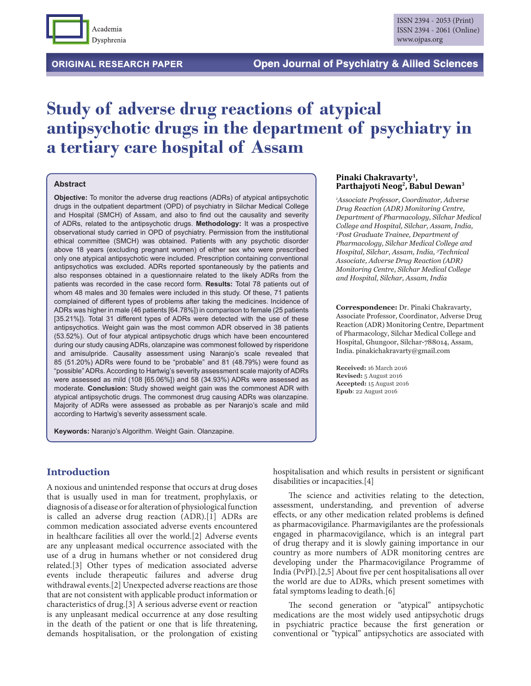

# **Study of adverse drug reactions of atypical antipsychotic drugs in the department of psychiatry in a tertiary care hospital of Assam**

#### **Abstract**

**Objective:** To monitor the adverse drug reactions (ADRs) of atypical antipsychotic drugs in the outpatient department (OPD) of psychiatry in Silchar Medical College and Hospital (SMCH) of Assam, and also to find out the causality and severity of ADRs, related to the antipsychotic drugs. **Methodology:** It was a prospective observational study carried in OPD of psychiatry. Permission from the institutional ethical committee (SMCH) was obtained. Patients with any psychotic disorder above 18 years (excluding pregnant women) of either sex who were prescribed only one atypical antipsychotic were included. Prescription containing conventional antipsychotics was excluded. ADRs reported spontaneously by the patients and also responses obtained in a questionnaire related to the likely ADRs from the patients was recorded in the case record form. **Results:** Total 78 patients out of whom 48 males and 30 females were included in this study. Of these, 71 patients complained of different types of problems after taking the medicines. Incidence of ADRs was higher in male (46 patients [64.78%]) in comparison to female (25 patients [35.21%]). Total 31 different types of ADRs were detected with the use of these antipsychotics. Weight gain was the most common ADR observed in 38 patients (53.52%). Out of four atypical antipsychotic drugs which have been encountered during our study causing ADRs, olanzapine was commonest followed by risperidone and amisulpride. Causality assessment using Naranjo's scale revealed that 85 (51.20%) ADRs were found to be "probable" and 81 (48.79%) were found as "possible" ADRs. According to Hartwig's severity assessment scale majority of ADRs were assessed as mild (108 [65.06%]) and 58 (34.93%) ADRs were assessed as moderate. **Conclusion:** Study showed weight gain was the commonest ADR with atypical antipsychotic drugs. The commonest drug causing ADRs was olanzapine. Majority of ADRs were assessed as probable as per Naranjo's scale and mild according to Hartwig's severity assessment scale.

**Keywords:** Naranjo's Algorithm. Weight Gain. Olanzapine.

#### **Pinaki Chakravarty1, Parthajyoti Neog2, Babul Dewan3**

*1 Associate Professor, Coordinator, Adverse Drug Reaction (ADR) Monitoring Centre, Department of Pharmacology, Silchar Medical College and Hospital, Silchar, Assam, India, 2 Post Graduate Trainee, Department of Pharmacology, Silchar Medical College and Hospital, Silchar, Assam, India, 3 Technical Associate, Adverse Drug Reaction (ADR) Monitoring Centre, Silchar Medical College and Hospital, Silchar, Assam, India*

**Correspondence:** Dr. Pinaki Chakravarty, Associate Professor, Coordinator, Adverse Drug Reaction (ADR) Monitoring Centre, Department of Pharmacology, Silchar Medical College and Hospital, Ghungoor, Silchar-788014, Assam, India. pinakichakravarty@gmail.com

**Received:** 16 March 2016 **Revised:** 5 August 2016 **Accepted:** 15 August 2016 **Epub**: 22 August 2016

# **Introduction**

A noxious and unintended response that occurs at drug doses that is usually used in man for treatment, prophylaxis, or diagnosis of a disease or for alteration of physiological function is called an adverse drug reaction (ADR).[1] ADRs are common medication associated adverse events encountered in healthcare facilities all over the world.[2] Adverse events are any unpleasant medical occurrence associated with the use of a drug in humans whether or not considered drug related.[3] Other types of medication associated adverse events include therapeutic failures and adverse drug withdrawal events.[2] Unexpected adverse reactions are those that are not consistent with applicable product information or characteristics of drug.[3] A serious adverse event or reaction is any unpleasant medical occurrence at any dose resulting in the death of the patient or one that is life threatening, demands hospitalisation, or the prolongation of existing hospitalisation and which results in persistent or significant disabilities or incapacities.[4]

The science and activities relating to the detection, assessment, understanding, and prevention of adverse effects, or any other medication related problems is defined as pharmacovigilance. Pharmavigilantes are the professionals engaged in pharmacovigilance, which is an integral part of drug therapy and it is slowly gaining importance in our country as more numbers of ADR monitoring centres are developing under the Pharmacovigilance Programme of India (PvPI).[2,5] About five per cent hospitalisations all over the world are due to ADRs, which present sometimes with fatal symptoms leading to death.[6]

The second generation or "atypical" antipsychotic medications are the most widely used antipsychotic drugs in psychiatric practice because the first generation or conventional or "typical" antipsychotics are associated with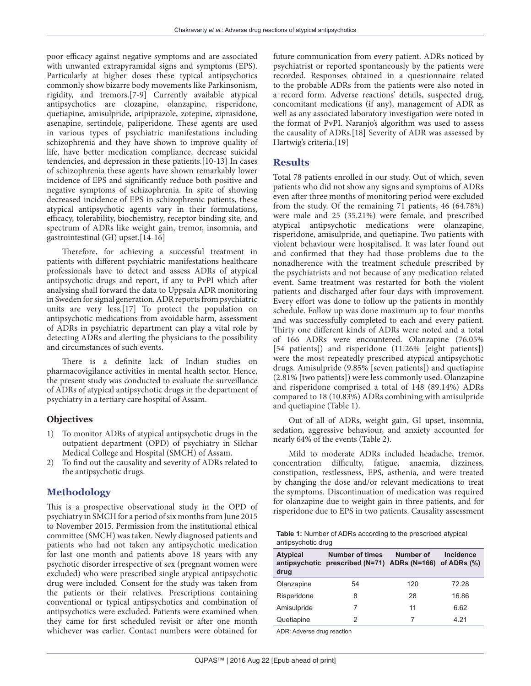poor efficacy against negative symptoms and are associated with unwanted extrapyramidal signs and symptoms (EPS). Particularly at higher doses these typical antipsychotics commonly show bizarre body movements like Parkinsonism, rigidity, and tremors.[7-9] Currently available atypical antipsychotics are clozapine, olanzapine, risperidone, quetiapine, amisulpride, aripiprazole, zotepine, ziprasidone, asenapine, sertindole, paliperidone. These agents are used in various types of psychiatric manifestations including schizophrenia and they have shown to improve quality of life, have better medication compliance, decrease suicidal tendencies, and depression in these patients.[10-13] In cases of schizophrenia these agents have shown remarkably lower incidence of EPS and significantly reduce both positive and negative symptoms of schizophrenia. In spite of showing decreased incidence of EPS in schizophrenic patients, these atypical antipsychotic agents vary in their formulations, efficacy, tolerability, biochemistry, receptor binding site, and spectrum of ADRs like weight gain, tremor, insomnia, and gastrointestinal (GI) upset.[14-16]

Therefore, for achieving a successful treatment in patients with different psychiatric manifestations healthcare professionals have to detect and assess ADRs of atypical antipsychotic drugs and report, if any to PvPI which after analysing shall forward the data to Uppsala ADR monitoring in Sweden for signal generation. ADR reports from psychiatric units are very less.[17] To protect the population on antipsychotic medications from avoidable harm, assessment of ADRs in psychiatric department can play a vital role by detecting ADRs and alerting the physicians to the possibility and circumstances of such events.

There is a definite lack of Indian studies on pharmacovigilance activities in mental health sector. Hence, the present study was conducted to evaluate the surveillance of ADRs of atypical antipsychotic drugs in the department of psychiatry in a tertiary care hospital of Assam.

# **Objectives**

- 1) To monitor ADRs of atypical antipsychotic drugs in the outpatient department (OPD) of psychiatry in Silchar Medical College and Hospital (SMCH) of Assam.
- 2) To find out the causality and severity of ADRs related to the antipsychotic drugs.

# **Methodology**

This is a prospective observational study in the OPD of psychiatry in SMCH for a period of six months from June 2015 to November 2015. Permission from the institutional ethical committee (SMCH) was taken. Newly diagnosed patients and patients who had not taken any antipsychotic medication for last one month and patients above 18 years with any psychotic disorder irrespective of sex (pregnant women were excluded) who were prescribed single atypical antipsychotic drug were included. Consent for the study was taken from the patients or their relatives. Prescriptions containing conventional or typical antipsychotics and combination of antipsychotics were excluded. Patients were examined when they came for first scheduled revisit or after one month whichever was earlier. Contact numbers were obtained for

future communication from every patient. ADRs noticed by psychiatrist or reported spontaneously by the patients were recorded. Responses obtained in a questionnaire related to the probable ADRs from the patients were also noted in a record form. Adverse reactions' details, suspected drug, concomitant medications (if any), management of ADR as well as any associated laboratory investigation were noted in the format of PvPI. Naranjo's algorithm was used to assess the causality of ADRs.[18] Severity of ADR was assessed by Hartwig's criteria.[19]

# **Results**

Total 78 patients enrolled in our study. Out of which, seven patients who did not show any signs and symptoms of ADRs even after three months of monitoring period were excluded from the study. Of the remaining 71 patients, 46 (64.78%) were male and 25 (35.21%) were female, and prescribed atypical antipsychotic medications were olanzapine, risperidone, amisulpride, and quetiapine. Two patients with violent behaviour were hospitalised. It was later found out and confirmed that they had those problems due to the nonadherence with the treatment schedule prescribed by the psychiatrists and not because of any medication related event. Same treatment was restarted for both the violent patients and discharged after four days with improvement. Every effort was done to follow up the patients in monthly schedule. Follow up was done maximum up to four months and was successfully completed to each and every patient. Thirty one different kinds of ADRs were noted and a total of 166 ADRs were encountered. Olanzapine (76.05% [54 patients]) and risperidone (11.26% [eight patients]) were the most repeatedly prescribed atypical antipsychotic drugs. Amisulpride (9.85% [seven patients]) and quetiapine (2.81% [two patients]) were less commonly used. Olanzapine and risperidone comprised a total of 148 (89.14%) ADRs compared to 18 (10.83%) ADRs combining with amisulpride and quetiapine (Table 1).

Out of all of ADRs, weight gain, GI upset, insomnia, sedation, aggressive behaviour, and anxiety accounted for nearly 64% of the events (Table 2).

Mild to moderate ADRs included headache, tremor, concentration difficulty, fatigue, anaemia, dizziness, constipation, restlessness, EPS, asthenia, and were treated by changing the dose and/or relevant medications to treat the symptoms. Discontinuation of medication was required for olanzapine due to weight gain in three patients, and for risperidone due to EPS in two patients. Causality assessment

**Table 1:** Number of ADRs according to the prescribed atypical antipsychotic drug

| <b>Atypical</b><br>antipsychotic<br>drug | <b>Number of times</b><br>prescribed (N=71) ADRs (N=166) of ADRs (%) | Number of | Incidence |
|------------------------------------------|----------------------------------------------------------------------|-----------|-----------|
| Olanzapine                               | 54                                                                   | 120       | 72.28     |
| Risperidone                              | 8                                                                    | 28        | 16.86     |
| Amisulpride                              |                                                                      | 11        | 6.62      |
| Quetiapine                               | 2                                                                    | 7         | 4 21      |

ADR: Adverse drug reaction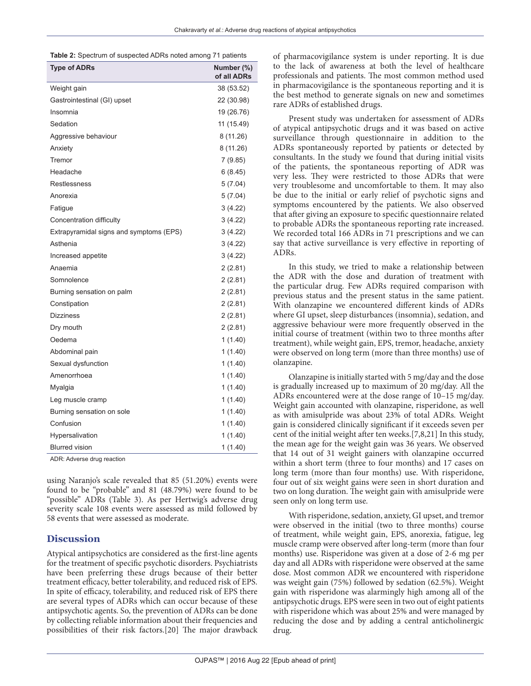|  | Table 2: Spectrum of suspected ADRs noted among 71 patients |  |  |  |  |
|--|-------------------------------------------------------------|--|--|--|--|
|  |                                                             |  |  |  |  |

| <b>Type of ADRs</b>                     | Number (%)<br>of all ADRs |
|-----------------------------------------|---------------------------|
| Weight gain                             | 38 (53.52)                |
| Gastrointestinal (GI) upset             | 22 (30.98)                |
| Insomnia                                | 19 (26.76)                |
| Sedation                                | 11 (15.49)                |
| Aggressive behaviour                    | 8 (11.26)                 |
| Anxiety                                 | 8 (11.26)                 |
| Tremor                                  | 7(9.85)                   |
| Headache                                | 6(8.45)                   |
| Restlessness                            | 5(7.04)                   |
| Anorexia                                | 5(7.04)                   |
| Fatigue                                 | 3(4.22)                   |
| Concentration difficulty                | 3(4.22)                   |
| Extrapyramidal signs and symptoms (EPS) | 3(4.22)                   |
| Asthenia                                | 3 (4.22)                  |
| Increased appetite                      | 3(4.22)                   |
| Anaemia                                 | 2(2.81)                   |
| Somnolence                              | 2(2.81)                   |
| Burning sensation on palm               | 2(2.81)                   |
| Constipation                            | 2(2.81)                   |
| <b>Dizziness</b>                        | 2(2.81)                   |
| Dry mouth                               | 2(2.81)                   |
| Oedema                                  | 1(1.40)                   |
| Abdominal pain                          | 1(1.40)                   |
| Sexual dysfunction                      | 1(1.40)                   |
| Amenorrhoea                             | 1(1.40)                   |
| Myalgia                                 | 1(1.40)                   |
| Leg muscle cramp                        | 1(1.40)                   |
| Burning sensation on sole               | 1(1.40)                   |
| Confusion                               | 1(1.40)                   |
| Hypersalivation                         | 1(1.40)                   |
| <b>Blurred vision</b>                   | 1(1.40)                   |

ADR: Adverse drug reaction

using Naranjo's scale revealed that 85 (51.20%) events were found to be "probable" and 81 (48.79%) were found to be "possible" ADRs (Table 3). As per Hertwig's adverse drug severity scale 108 events were assessed as mild followed by 58 events that were assessed as moderate.

# **Discussion**

Atypical antipsychotics are considered as the first-line agents for the treatment of specific psychotic disorders. Psychiatrists have been preferring these drugs because of their better treatment efficacy, better tolerability, and reduced risk of EPS. In spite of efficacy, tolerability, and reduced risk of EPS there are several types of ADRs which can occur because of these antipsychotic agents. So, the prevention of ADRs can be done by collecting reliable information about their frequencies and possibilities of their risk factors.[20] The major drawback

of pharmacovigilance system is under reporting. It is due to the lack of awareness at both the level of healthcare professionals and patients. The most common method used in pharmacovigilance is the spontaneous reporting and it is the best method to generate signals on new and sometimes rare ADRs of established drugs.

Present study was undertaken for assessment of ADRs of atypical antipsychotic drugs and it was based on active surveillance through questionnaire in addition to the ADRs spontaneously reported by patients or detected by consultants. In the study we found that during initial visits of the patients, the spontaneous reporting of ADR was very less. They were restricted to those ADRs that were very troublesome and uncomfortable to them. It may also be due to the initial or early relief of psychotic signs and symptoms encountered by the patients. We also observed that after giving an exposure to specific questionnaire related to probable ADRs the spontaneous reporting rate increased. We recorded total 166 ADRs in 71 prescriptions and we can say that active surveillance is very effective in reporting of ADRs.

In this study, we tried to make a relationship between the ADR with the dose and duration of treatment with the particular drug. Few ADRs required comparison with previous status and the present status in the same patient. With olanzapine we encountered different kinds of ADRs where GI upset, sleep disturbances (insomnia), sedation, and aggressive behaviour were more frequently observed in the initial course of treatment (within two to three months after treatment), while weight gain, EPS, tremor, headache, anxiety were observed on long term (more than three months) use of olanzapine.

Olanzapine is initially started with 5 mg/day and the dose is gradually increased up to maximum of 20 mg/day. All the ADRs encountered were at the dose range of 10–15 mg/day. Weight gain accounted with olanzapine, risperidone, as well as with amisulpride was about 23% of total ADRs. Weight gain is considered clinically significant if it exceeds seven per cent of the initial weight after ten weeks.[7,8,21] In this study, the mean age for the weight gain was 36 years. We observed that 14 out of 31 weight gainers with olanzapine occurred within a short term (three to four months) and 17 cases on long term (more than four months) use. With risperidone, four out of six weight gains were seen in short duration and two on long duration. The weight gain with amisulpride were seen only on long term use.

With risperidone, sedation, anxiety, GI upset, and tremor were observed in the initial (two to three months) course of treatment, while weight gain, EPS, anorexia, fatigue, leg muscle cramp were observed after long-term (more than four months) use. Risperidone was given at a dose of 2-6 mg per day and all ADRs with risperidone were observed at the same dose. Most common ADR we encountered with risperidone was weight gain (75%) followed by sedation (62.5%). Weight gain with risperidone was alarmingly high among all of the antipsychotic drugs. EPS were seen in two out of eight patients with risperidone which was about 25% and were managed by reducing the dose and by adding a central anticholinergic drug.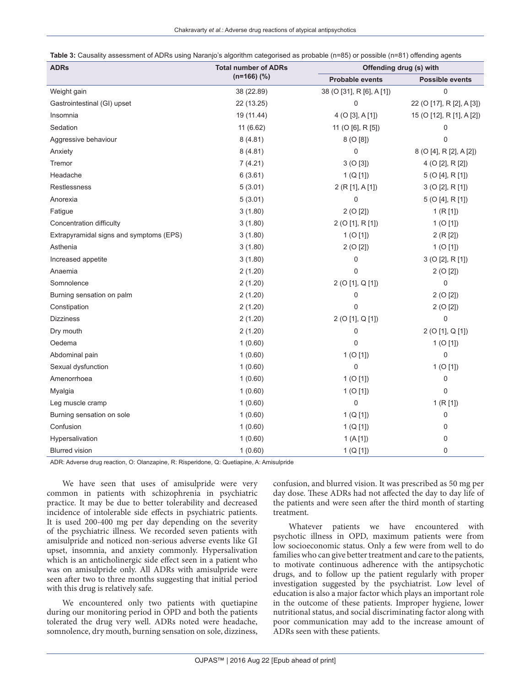| Table 3: Causality assessment of ADRs using Naranjo's algorithm categorised as probable (n=85) or possible (n=81) offending agents |  |  |
|------------------------------------------------------------------------------------------------------------------------------------|--|--|
|------------------------------------------------------------------------------------------------------------------------------------|--|--|

| <b>ADRs</b>                             | <b>Total number of ADRs</b> |                           | Offending drug (s) with   |  |  |  |
|-----------------------------------------|-----------------------------|---------------------------|---------------------------|--|--|--|
|                                         | $(n=166)$ (%)               | <b>Probable events</b>    | <b>Possible events</b>    |  |  |  |
| Weight gain                             | 38 (22.89)                  | 38 (O [31], R [6], A [1]) | $\mathbf 0$               |  |  |  |
| Gastrointestinal (GI) upset             | 22 (13.25)                  | 0                         | 22 (O [17], R [2], A [3]) |  |  |  |
| Insomnia                                | 19 (11.44)                  | 4 (O [3], A [1])          | 15 (O [12], R [1], A [2]) |  |  |  |
| Sedation                                | 11 (6.62)                   | 11 (O [6], R [5])         | 0                         |  |  |  |
| Aggressive behaviour                    | 8(4.81)                     | 8 (O [8])                 | 0                         |  |  |  |
| Anxiety                                 | 8(4.81)                     | 0                         | 8 (O [4], R [2], A [2])   |  |  |  |
| Tremor                                  | 7(4.21)                     | 3(0[3])                   | 4 (O [2], R [2])          |  |  |  |
| Headache                                | 6(3.61)                     | 1 (Q [1])                 | 5 (O [4], R [1])          |  |  |  |
| Restlessness                            | 5(3.01)                     | 2 (R [1], A [1])          | 3 (O [2], R [1])          |  |  |  |
| Anorexia                                | 5(3.01)                     | 0                         | 5 (O [4], R [1])          |  |  |  |
| Fatigue                                 | 3(1.80)                     | 2(0[2])                   | 1(R[1])                   |  |  |  |
| Concentration difficulty                | 3(1.80)                     | 2 (O [1], R [1])          | 1 (O[1])                  |  |  |  |
| Extrapyramidal signs and symptoms (EPS) | 3(1.80)                     | $1$ (O [1])               | 2(R[2])                   |  |  |  |
| Asthenia                                | 3(1.80)                     | 2(0[2])                   | $1$ (O [1])               |  |  |  |
| Increased appetite                      | 3(1.80)                     | 0                         | $3$ (O [2], R [1])        |  |  |  |
| Anaemia                                 | 2(1.20)                     | 0                         | 2(0[2])                   |  |  |  |
| Somnolence                              | 2(1.20)                     | 2 (O [1], Q [1])          | 0                         |  |  |  |
| Burning sensation on palm               | 2(1.20)                     | 0                         | 2(0[2])                   |  |  |  |
| Constipation                            | 2(1.20)                     | 0                         | 2(0[2])                   |  |  |  |
| <b>Dizziness</b>                        | 2(1.20)                     | 2 (O [1], Q [1])          | $\pmb{0}$                 |  |  |  |
| Dry mouth                               | 2(1.20)                     | 0                         | 2 (O [1], Q [1])          |  |  |  |
| Oedema                                  | 1(0.60)                     | 0                         | 1 (O[1])                  |  |  |  |
| Abdominal pain                          | 1(0.60)                     | $1$ (O [1])               | 0                         |  |  |  |
| Sexual dysfunction                      | 1(0.60)                     | 0                         | 1 (O[1])                  |  |  |  |
| Amenorrhoea                             | 1(0.60)                     | $1$ (O [1])               | $\mathbf 0$               |  |  |  |
| Myalgia                                 | 1(0.60)                     | 1 (O[1])                  | $\mathbf 0$               |  |  |  |
| Leg muscle cramp                        | 1(0.60)                     | $\mathsf 0$               | 1 (R [1])                 |  |  |  |
| Burning sensation on sole               | 1(0.60)                     | 1 (Q [1])                 | $\mathsf 0$               |  |  |  |
| Confusion                               | 1(0.60)                     | 1 (Q [1])                 | 0                         |  |  |  |
| Hypersalivation                         | 1(0.60)                     | 1(A[1])                   | 0                         |  |  |  |
| <b>Blurred vision</b>                   | 1(0.60)                     | 1 (Q [1])                 | 0                         |  |  |  |

ADR: Adverse drug reaction, O: Olanzapine, R: Risperidone, Q: Quetiapine, A: Amisulpride

We have seen that uses of amisulpride were very common in patients with schizophrenia in psychiatric practice. It may be due to better tolerability and decreased incidence of intolerable side effects in psychiatric patients. It is used 200-400 mg per day depending on the severity of the psychiatric illness. We recorded seven patients with amisulpride and noticed non-serious adverse events like GI upset, insomnia, and anxiety commonly. Hypersalivation which is an anticholinergic side effect seen in a patient who was on amisulpride only. All ADRs with amisulpride were seen after two to three months suggesting that initial period with this drug is relatively safe.

We encountered only two patients with quetiapine during our monitoring period in OPD and both the patients tolerated the drug very well. ADRs noted were headache, somnolence, dry mouth, burning sensation on sole, dizziness, confusion, and blurred vision. It was prescribed as 50 mg per day dose. These ADRs had not affected the day to day life of the patients and were seen after the third month of starting treatment.

Whatever patients we have encountered with psychotic illness in OPD, maximum patients were from low socioeconomic status. Only a few were from well to do families who can give better treatment and care to the patients, to motivate continuous adherence with the antipsychotic drugs, and to follow up the patient regularly with proper investigation suggested by the psychiatrist. Low level of education is also a major factor which plays an important role in the outcome of these patients. Improper hygiene, lower nutritional status, and social discriminating factor along with poor communication may add to the increase amount of ADRs seen with these patients.